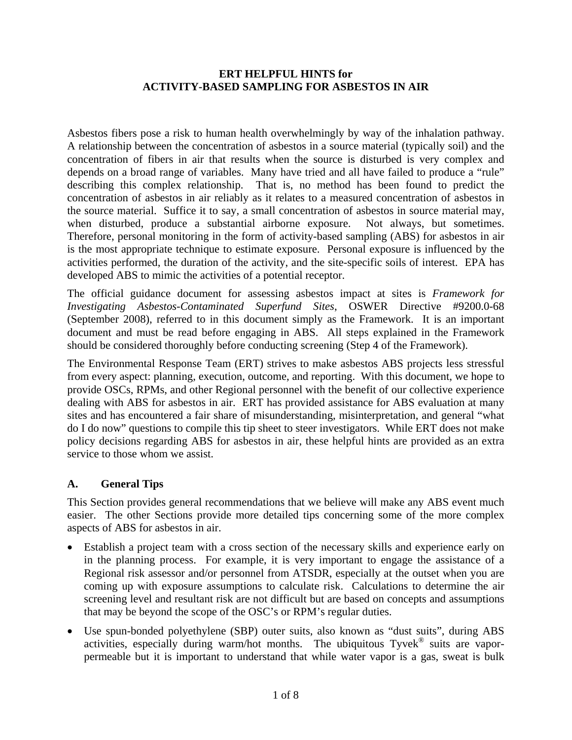#### **ERT HELPFUL HINTS for ACTIVITY-BASED SAMPLING FOR ASBESTOS IN AIR**

Asbestos fibers pose a risk to human health overwhelmingly by way of the inhalation pathway. A relationship between the concentration of asbestos in a source material (typically soil) and the concentration of fibers in air that results when the source is disturbed is very complex and depends on a broad range of variables. Many have tried and all have failed to produce a "rule" describing this complex relationship. That is, no method has been found to predict the concentration of asbestos in air reliably as it relates to a measured concentration of asbestos in the source material. Suffice it to say, a small concentration of asbestos in source material may, when disturbed, produce a substantial airborne exposure. Not always, but sometimes. Therefore, personal monitoring in the form of activity-based sampling (ABS) for asbestos in air is the most appropriate technique to estimate exposure. Personal exposure is influenced by the activities performed, the duration of the activity, and the site-specific soils of interest. EPA has developed ABS to mimic the activities of a potential receptor.

The official guidance document for assessing asbestos impact at sites is *Framework for Investigating Asbestos-Contaminated Superfund Sites*, OSWER Directive #9200.0-68 (September 2008), referred to in this document simply as the Framework. It is an important document and must be read before engaging in ABS. All steps explained in the Framework should be considered thoroughly before conducting screening (Step 4 of the Framework).

The Environmental Response Team (ERT) strives to make asbestos ABS projects less stressful from every aspect: planning, execution, outcome, and reporting. With this document, we hope to provide OSCs, RPMs, and other Regional personnel with the benefit of our collective experience dealing with ABS for asbestos in air. ERT has provided assistance for ABS evaluation at many sites and has encountered a fair share of misunderstanding, misinterpretation, and general "what do I do now" questions to compile this tip sheet to steer investigators. While ERT does not make policy decisions regarding ABS for asbestos in air, these helpful hints are provided as an extra service to those whom we assist.

#### **A. General Tips**

This Section provides general recommendations that we believe will make any ABS event much easier. The other Sections provide more detailed tips concerning some of the more complex aspects of ABS for asbestos in air.

- Establish a project team with a cross section of the necessary skills and experience early on in the planning process. For example, it is very important to engage the assistance of a Regional risk assessor and/or personnel from ATSDR, especially at the outset when you are coming up with exposure assumptions to calculate risk. Calculations to determine the air screening level and resultant risk are not difficult but are based on concepts and assumptions that may be beyond the scope of the OSC's or RPM's regular duties.
- Use spun-bonded polyethylene (SBP) outer suits, also known as "dust suits", during ABS activities, especially during warm/hot months. The ubiquitous Tyvek<sup>®</sup> suits are vaporpermeable but it is important to understand that while water vapor is a gas, sweat is bulk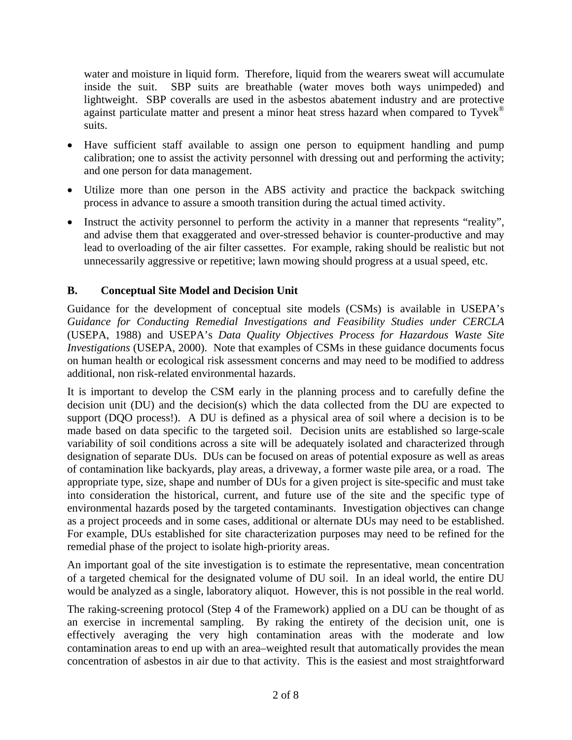water and moisture in liquid form. Therefore, liquid from the wearers sweat will accumulate inside the suit. SBP suits are breathable (water moves both ways unimpeded) and lightweight. SBP coveralls are used in the asbestos abatement industry and are protective against particulate matter and present a minor heat stress hazard when compared to  $Tyvek^{\circledcirc}$ suits.

- Have sufficient staff available to assign one person to equipment handling and pump calibration; one to assist the activity personnel with dressing out and performing the activity; and one person for data management.
- Utilize more than one person in the ABS activity and practice the backpack switching process in advance to assure a smooth transition during the actual timed activity.
- Instruct the activity personnel to perform the activity in a manner that represents "reality", and advise them that exaggerated and over-stressed behavior is counter-productive and may lead to overloading of the air filter cassettes. For example, raking should be realistic but not unnecessarily aggressive or repetitive; lawn mowing should progress at a usual speed, etc.

## **B. Conceptual Site Model and Decision Unit**

Guidance for the development of conceptual site models (CSMs) is available in USEPA's *Guidance for Conducting Remedial Investigations and Feasibility Studies under CERCLA* (USEPA, 1988) and USEPA's *Data Quality Objectives Process for Hazardous Waste Site Investigations* (USEPA, 2000). Note that examples of CSMs in these guidance documents focus on human health or ecological risk assessment concerns and may need to be modified to address additional, non risk-related environmental hazards.

It is important to develop the CSM early in the planning process and to carefully define the decision unit (DU) and the decision(s) which the data collected from the DU are expected to support (DQO process!). A DU is defined as a physical area of soil where a decision is to be made based on data specific to the targeted soil. Decision units are established so large-scale variability of soil conditions across a site will be adequately isolated and characterized through designation of separate DUs. DUs can be focused on areas of potential exposure as well as areas of contamination like backyards, play areas, a driveway, a former waste pile area, or a road. The appropriate type, size, shape and number of DUs for a given project is site-specific and must take into consideration the historical, current, and future use of the site and the specific type of environmental hazards posed by the targeted contaminants. Investigation objectives can change as a project proceeds and in some cases, additional or alternate DUs may need to be established. For example, DUs established for site characterization purposes may need to be refined for the remedial phase of the project to isolate high-priority areas.

An important goal of the site investigation is to estimate the representative, mean concentration of a targeted chemical for the designated volume of DU soil. In an ideal world, the entire DU would be analyzed as a single, laboratory aliquot. However, this is not possible in the real world.

The raking-screening protocol (Step 4 of the Framework) applied on a DU can be thought of as an exercise in incremental sampling. By raking the entirety of the decision unit, one is effectively averaging the very high contamination areas with the moderate and low contamination areas to end up with an area–weighted result that automatically provides the mean concentration of asbestos in air due to that activity. This is the easiest and most straightforward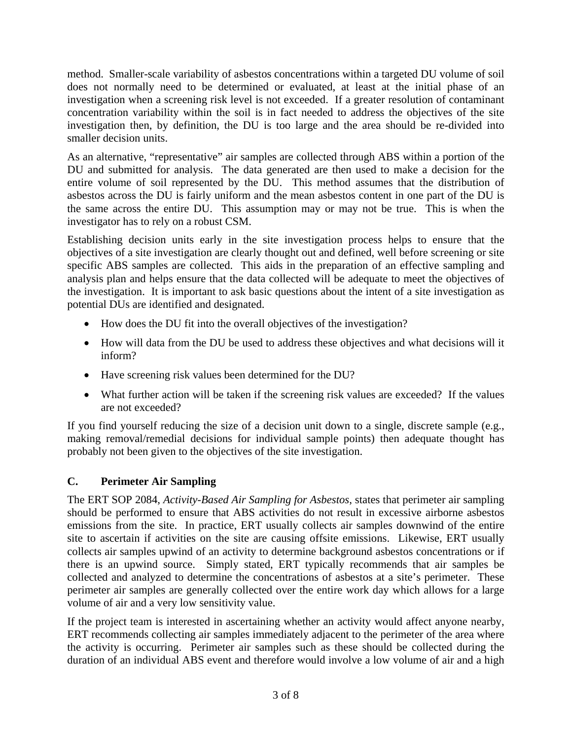method. Smaller-scale variability of asbestos concentrations within a targeted DU volume of soil does not normally need to be determined or evaluated, at least at the initial phase of an investigation when a screening risk level is not exceeded. If a greater resolution of contaminant concentration variability within the soil is in fact needed to address the objectives of the site investigation then, by definition, the DU is too large and the area should be re-divided into smaller decision units.

As an alternative, "representative" air samples are collected through ABS within a portion of the DU and submitted for analysis. The data generated are then used to make a decision for the entire volume of soil represented by the DU. This method assumes that the distribution of asbestos across the DU is fairly uniform and the mean asbestos content in one part of the DU is the same across the entire DU. This assumption may or may not be true. This is when the investigator has to rely on a robust CSM.

Establishing decision units early in the site investigation process helps to ensure that the objectives of a site investigation are clearly thought out and defined, well before screening or site specific ABS samples are collected. This aids in the preparation of an effective sampling and analysis plan and helps ensure that the data collected will be adequate to meet the objectives of the investigation. It is important to ask basic questions about the intent of a site investigation as potential DUs are identified and designated.

- How does the DU fit into the overall objectives of the investigation?
- How will data from the DU be used to address these objectives and what decisions will it inform?
- Have screening risk values been determined for the DU?
- What further action will be taken if the screening risk values are exceeded? If the values are not exceeded?

If you find yourself reducing the size of a decision unit down to a single, discrete sample (e.g., making removal/remedial decisions for individual sample points) then adequate thought has probably not been given to the objectives of the site investigation.

# **C. Perimeter Air Sampling**

The ERT SOP 2084, *Activity-Based Air Sampling for Asbestos*, states that perimeter air sampling should be performed to ensure that ABS activities do not result in excessive airborne asbestos emissions from the site. In practice, ERT usually collects air samples downwind of the entire site to ascertain if activities on the site are causing offsite emissions. Likewise, ERT usually collects air samples upwind of an activity to determine background asbestos concentrations or if there is an upwind source. Simply stated, ERT typically recommends that air samples be collected and analyzed to determine the concentrations of asbestos at a site's perimeter. These perimeter air samples are generally collected over the entire work day which allows for a large volume of air and a very low sensitivity value.

If the project team is interested in ascertaining whether an activity would affect anyone nearby, ERT recommends collecting air samples immediately adjacent to the perimeter of the area where the activity is occurring. Perimeter air samples such as these should be collected during the duration of an individual ABS event and therefore would involve a low volume of air and a high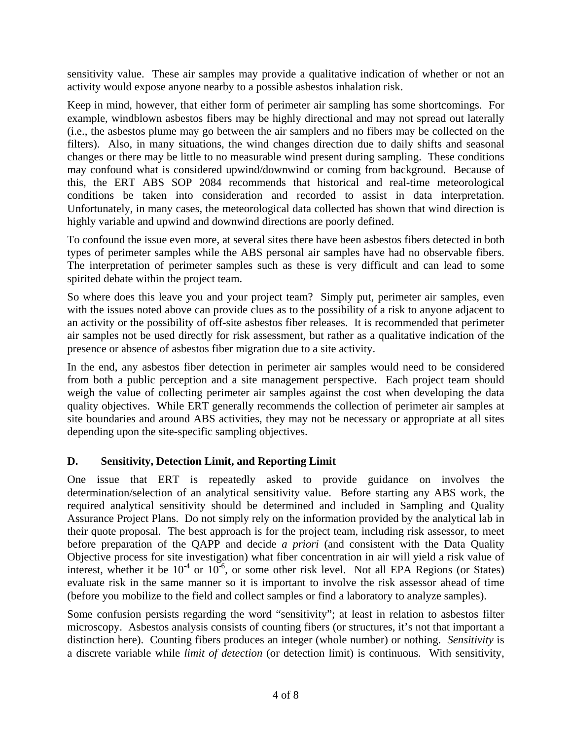sensitivity value. These air samples may provide a qualitative indication of whether or not an activity would expose anyone nearby to a possible asbestos inhalation risk.

Keep in mind, however, that either form of perimeter air sampling has some shortcomings. For example, windblown asbestos fibers may be highly directional and may not spread out laterally (i.e., the asbestos plume may go between the air samplers and no fibers may be collected on the filters). Also, in many situations, the wind changes direction due to daily shifts and seasonal changes or there may be little to no measurable wind present during sampling. These conditions may confound what is considered upwind/downwind or coming from background. Because of this, the ERT ABS SOP 2084 recommends that historical and real-time meteorological conditions be taken into consideration and recorded to assist in data interpretation. Unfortunately, in many cases, the meteorological data collected has shown that wind direction is highly variable and upwind and downwind directions are poorly defined.

To confound the issue even more, at several sites there have been asbestos fibers detected in both types of perimeter samples while the ABS personal air samples have had no observable fibers. The interpretation of perimeter samples such as these is very difficult and can lead to some spirited debate within the project team.

So where does this leave you and your project team? Simply put, perimeter air samples, even with the issues noted above can provide clues as to the possibility of a risk to anyone adjacent to an activity or the possibility of off-site asbestos fiber releases. It is recommended that perimeter air samples not be used directly for risk assessment, but rather as a qualitative indication of the presence or absence of asbestos fiber migration due to a site activity.

In the end, any asbestos fiber detection in perimeter air samples would need to be considered from both a public perception and a site management perspective. Each project team should weigh the value of collecting perimeter air samples against the cost when developing the data quality objectives. While ERT generally recommends the collection of perimeter air samples at site boundaries and around ABS activities, they may not be necessary or appropriate at all sites depending upon the site-specific sampling objectives.

## **D. Sensitivity, Detection Limit, and Reporting Limit**

One issue that ERT is repeatedly asked to provide guidance on involves the determination/selection of an analytical sensitivity value. Before starting any ABS work, the required analytical sensitivity should be determined and included in Sampling and Quality Assurance Project Plans. Do not simply rely on the information provided by the analytical lab in their quote proposal. The best approach is for the project team, including risk assessor, to meet before preparation of the QAPP and decide *a priori* (and consistent with the Data Quality Objective process for site investigation) what fiber concentration in air will yield a risk value of interest, whether it be  $10^{-4}$  or  $10^{-6}$ , or some other risk level. Not all EPA Regions (or States) evaluate risk in the same manner so it is important to involve the risk assessor ahead of time (before you mobilize to the field and collect samples or find a laboratory to analyze samples).

Some confusion persists regarding the word "sensitivity"; at least in relation to asbestos filter microscopy. Asbestos analysis consists of counting fibers (or structures, it's not that important a distinction here). Counting fibers produces an integer (whole number) or nothing. *Sensitivity* is a discrete variable while *limit of detection* (or detection limit) is continuous. With sensitivity,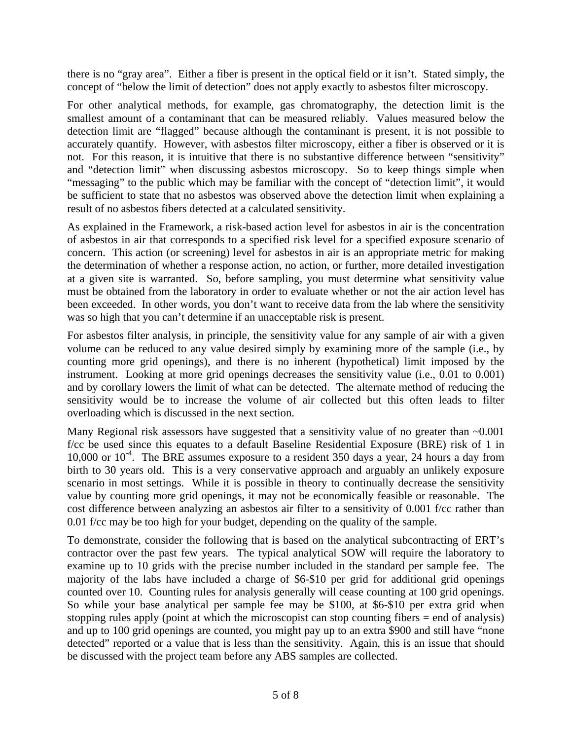there is no "gray area". Either a fiber is present in the optical field or it isn't. Stated simply, the concept of "below the limit of detection" does not apply exactly to asbestos filter microscopy.

For other analytical methods, for example, gas chromatography, the detection limit is the smallest amount of a contaminant that can be measured reliably. Values measured below the detection limit are "flagged" because although the contaminant is present, it is not possible to accurately quantify. However, with asbestos filter microscopy, either a fiber is observed or it is not. For this reason, it is intuitive that there is no substantive difference between "sensitivity" and "detection limit" when discussing asbestos microscopy. So to keep things simple when "messaging" to the public which may be familiar with the concept of "detection limit", it would be sufficient to state that no asbestos was observed above the detection limit when explaining a result of no asbestos fibers detected at a calculated sensitivity.

As explained in the Framework, a risk-based action level for asbestos in air is the concentration of asbestos in air that corresponds to a specified risk level for a specified exposure scenario of concern. This action (or screening) level for asbestos in air is an appropriate metric for making the determination of whether a response action, no action, or further, more detailed investigation at a given site is warranted. So, before sampling, you must determine what sensitivity value must be obtained from the laboratory in order to evaluate whether or not the air action level has been exceeded. In other words, you don't want to receive data from the lab where the sensitivity was so high that you can't determine if an unacceptable risk is present.

For asbestos filter analysis, in principle, the sensitivity value for any sample of air with a given volume can be reduced to any value desired simply by examining more of the sample (i.e., by counting more grid openings), and there is no inherent (hypothetical) limit imposed by the instrument. Looking at more grid openings decreases the sensitivity value (i.e., 0.01 to 0.001) and by corollary lowers the limit of what can be detected. The alternate method of reducing the sensitivity would be to increase the volume of air collected but this often leads to filter overloading which is discussed in the next section.

Many Regional risk assessors have suggested that a sensitivity value of no greater than  $~0.001$ f/cc be used since this equates to a default Baseline Residential Exposure (BRE) risk of 1 in 10,000 or  $10^{-4}$ . The BRE assumes exposure to a resident 350 days a year, 24 hours a day from birth to 30 years old. This is a very conservative approach and arguably an unlikely exposure scenario in most settings. While it is possible in theory to continually decrease the sensitivity value by counting more grid openings, it may not be economically feasible or reasonable. The cost difference between analyzing an asbestos air filter to a sensitivity of 0.001 f/cc rather than 0.01 f/cc may be too high for your budget, depending on the quality of the sample.

To demonstrate, consider the following that is based on the analytical subcontracting of ERT's contractor over the past few years. The typical analytical SOW will require the laboratory to examine up to 10 grids with the precise number included in the standard per sample fee. The majority of the labs have included a charge of \$6-\$10 per grid for additional grid openings counted over 10. Counting rules for analysis generally will cease counting at 100 grid openings. So while your base analytical per sample fee may be \$100, at \$6-\$10 per extra grid when stopping rules apply (point at which the microscopist can stop counting fibers = end of analysis) and up to 100 grid openings are counted, you might pay up to an extra \$900 and still have "none detected" reported or a value that is less than the sensitivity. Again, this is an issue that should be discussed with the project team before any ABS samples are collected.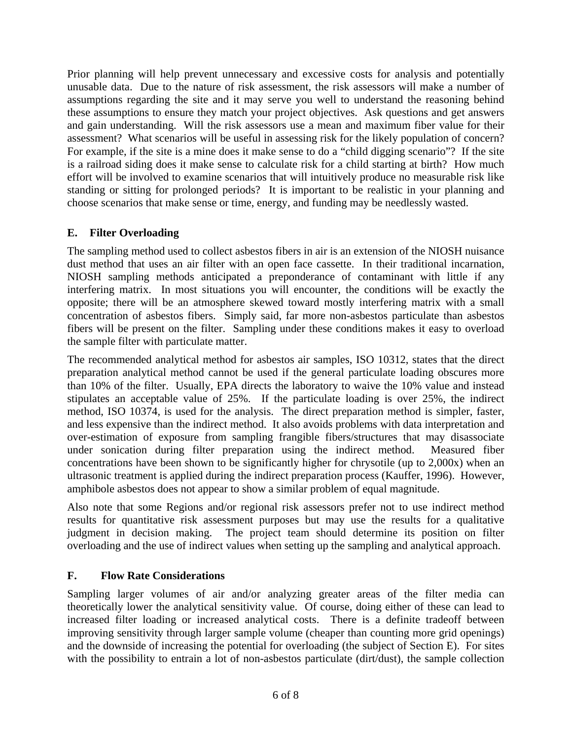Prior planning will help prevent unnecessary and excessive costs for analysis and potentially unusable data. Due to the nature of risk assessment, the risk assessors will make a number of assumptions regarding the site and it may serve you well to understand the reasoning behind these assumptions to ensure they match your project objectives. Ask questions and get answers and gain understanding. Will the risk assessors use a mean and maximum fiber value for their assessment? What scenarios will be useful in assessing risk for the likely population of concern? For example, if the site is a mine does it make sense to do a "child digging scenario"? If the site is a railroad siding does it make sense to calculate risk for a child starting at birth? How much effort will be involved to examine scenarios that will intuitively produce no measurable risk like standing or sitting for prolonged periods? It is important to be realistic in your planning and choose scenarios that make sense or time, energy, and funding may be needlessly wasted.

#### **E. Filter Overloading**

The sampling method used to collect asbestos fibers in air is an extension of the NIOSH nuisance dust method that uses an air filter with an open face cassette. In their traditional incarnation, NIOSH sampling methods anticipated a preponderance of contaminant with little if any interfering matrix. In most situations you will encounter, the conditions will be exactly the opposite; there will be an atmosphere skewed toward mostly interfering matrix with a small concentration of asbestos fibers. Simply said, far more non-asbestos particulate than asbestos fibers will be present on the filter. Sampling under these conditions makes it easy to overload the sample filter with particulate matter.

The recommended analytical method for asbestos air samples, ISO 10312, states that the direct preparation analytical method cannot be used if the general particulate loading obscures more than 10% of the filter. Usually, EPA directs the laboratory to waive the 10% value and instead stipulates an acceptable value of 25%. If the particulate loading is over 25%, the indirect method, ISO 10374, is used for the analysis. The direct preparation method is simpler, faster, and less expensive than the indirect method. It also avoids problems with data interpretation and over-estimation of exposure from sampling frangible fibers/structures that may disassociate under sonication during filter preparation using the indirect method. Measured fiber concentrations have been shown to be significantly higher for chrysotile (up to 2,000x) when an ultrasonic treatment is applied during the indirect preparation process (Kauffer, 1996). However, amphibole asbestos does not appear to show a similar problem of equal magnitude.

Also note that some Regions and/or regional risk assessors prefer not to use indirect method results for quantitative risk assessment purposes but may use the results for a qualitative judgment in decision making. The project team should determine its position on filter overloading and the use of indirect values when setting up the sampling and analytical approach.

## **F. Flow Rate Considerations**

Sampling larger volumes of air and/or analyzing greater areas of the filter media can theoretically lower the analytical sensitivity value. Of course, doing either of these can lead to increased filter loading or increased analytical costs. There is a definite tradeoff between improving sensitivity through larger sample volume (cheaper than counting more grid openings) and the downside of increasing the potential for overloading (the subject of Section E). For sites with the possibility to entrain a lot of non-asbestos particulate (dirt/dust), the sample collection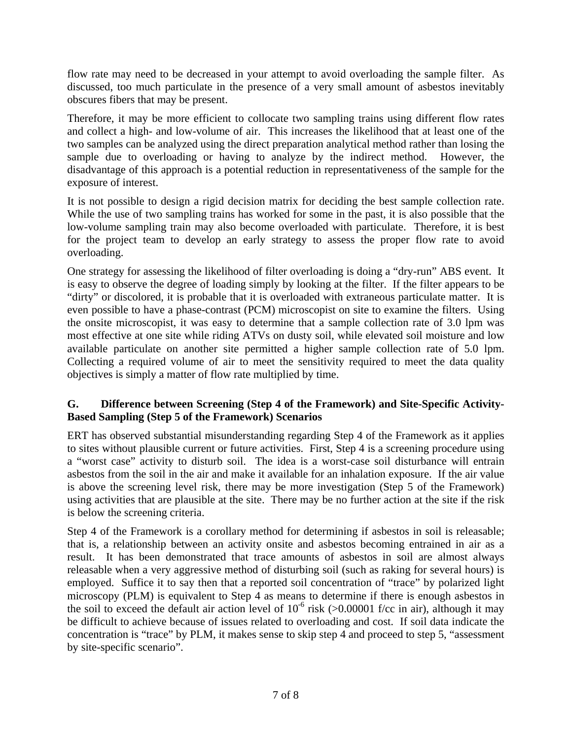flow rate may need to be decreased in your attempt to avoid overloading the sample filter. As discussed, too much particulate in the presence of a very small amount of asbestos inevitably obscures fibers that may be present.

Therefore, it may be more efficient to collocate two sampling trains using different flow rates and collect a high- and low-volume of air. This increases the likelihood that at least one of the two samples can be analyzed using the direct preparation analytical method rather than losing the sample due to overloading or having to analyze by the indirect method. However, the disadvantage of this approach is a potential reduction in representativeness of the sample for the exposure of interest.

It is not possible to design a rigid decision matrix for deciding the best sample collection rate. While the use of two sampling trains has worked for some in the past, it is also possible that the low-volume sampling train may also become overloaded with particulate. Therefore, it is best for the project team to develop an early strategy to assess the proper flow rate to avoid overloading.

One strategy for assessing the likelihood of filter overloading is doing a "dry-run" ABS event. It is easy to observe the degree of loading simply by looking at the filter. If the filter appears to be "dirty" or discolored, it is probable that it is overloaded with extraneous particulate matter. It is even possible to have a phase-contrast (PCM) microscopist on site to examine the filters. Using the onsite microscopist, it was easy to determine that a sample collection rate of 3.0 lpm was most effective at one site while riding ATVs on dusty soil, while elevated soil moisture and low available particulate on another site permitted a higher sample collection rate of 5.0 lpm. Collecting a required volume of air to meet the sensitivity required to meet the data quality objectives is simply a matter of flow rate multiplied by time.

#### **G. Difference between Screening (Step 4 of the Framework) and Site-Specific Activity-Based Sampling (Step 5 of the Framework) Scenarios**

ERT has observed substantial misunderstanding regarding Step 4 of the Framework as it applies to sites without plausible current or future activities. First, Step 4 is a screening procedure using a "worst case" activity to disturb soil. The idea is a worst-case soil disturbance will entrain asbestos from the soil in the air and make it available for an inhalation exposure. If the air value is above the screening level risk, there may be more investigation (Step 5 of the Framework) using activities that are plausible at the site. There may be no further action at the site if the risk is below the screening criteria.

Step 4 of the Framework is a corollary method for determining if asbestos in soil is releasable; that is, a relationship between an activity onsite and asbestos becoming entrained in air as a result. It has been demonstrated that trace amounts of asbestos in soil are almost always releasable when a very aggressive method of disturbing soil (such as raking for several hours) is employed. Suffice it to say then that a reported soil concentration of "trace" by polarized light microscopy (PLM) is equivalent to Step 4 as means to determine if there is enough asbestos in the soil to exceed the default air action level of  $10^{-6}$  risk ( $> 0.00001$  f/cc in air), although it may be difficult to achieve because of issues related to overloading and cost. If soil data indicate the concentration is "trace" by PLM, it makes sense to skip step 4 and proceed to step 5, "assessment by site-specific scenario".